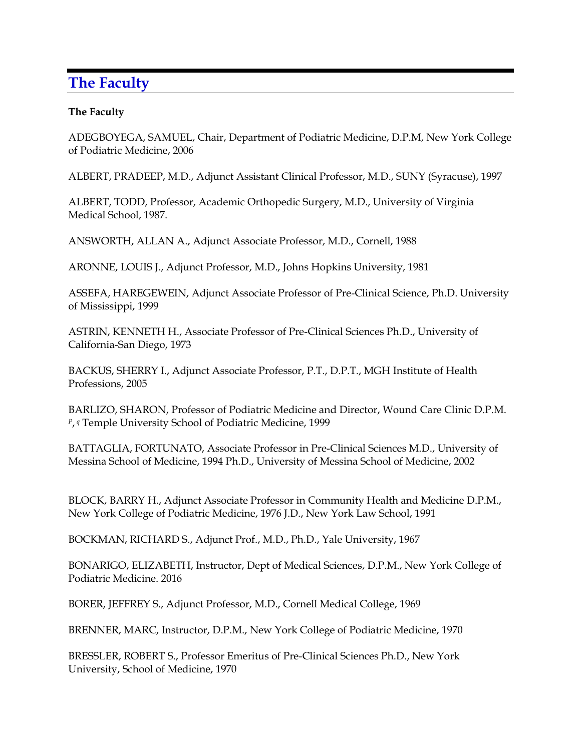## **The Faculty**

## **The Faculty**

ADEGBOYEGA, SAMUEL, Chair, Department of Podiatric Medicine, D.P.M, New York College of Podiatric Medicine, 2006

ALBERT, PRADEEP, M.D., Adjunct Assistant Clinical Professor, M.D., SUNY (Syracuse), 1997

ALBERT, TODD, Professor, Academic Orthopedic Surgery, M.D., University of Virginia Medical School, 1987.

ANSWORTH, ALLAN A., Adjunct Associate Professor, M.D., Cornell, 1988

ARONNE, LOUIS J., Adjunct Professor, M.D., Johns Hopkins University, 1981

ASSEFA, HAREGEWEIN, Adjunct Associate Professor of Pre-Clinical Science, Ph.D. University of Mississippi, 1999

ASTRIN, KENNETH H., Associate Professor of Pre-Clinical Sciences Ph.D., University of California-San Diego, 1973

BACKUS, SHERRY I., Adjunct Associate Professor, P.T., D.P.T., MGH Institute of Health Professions, 2005

BARLIZO, SHARON, Professor of Podiatric Medicine and Director, Wound Care Clinic D.P.M. *P*, *<sup>q</sup>* Temple University School of Podiatric Medicine, 1999

BATTAGLIA, FORTUNATO, Associate Professor in Pre-Clinical Sciences M.D., University of Messina School of Medicine, 1994 Ph.D., University of Messina School of Medicine, 2002

BLOCK, BARRY H., Adjunct Associate Professor in Community Health and Medicine D.P.M., New York College of Podiatric Medicine, 1976 J.D., New York Law School, 1991

BOCKMAN, RICHARD S., Adjunct Prof., M.D., Ph.D., Yale University, 1967

BONARIGO, ELIZABETH, Instructor, Dept of Medical Sciences, D.P.M., New York College of Podiatric Medicine. 2016

BORER, JEFFREY S., Adjunct Professor, M.D., Cornell Medical College, 1969

BRENNER, MARC, Instructor, D.P.M., New York College of Podiatric Medicine, 1970

BRESSLER, ROBERT S., Professor Emeritus of Pre-Clinical Sciences Ph.D., New York University, School of Medicine, 1970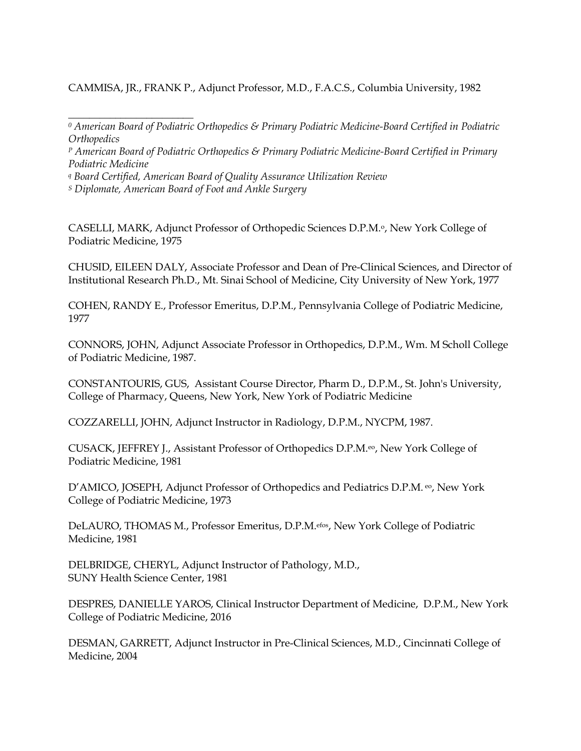CAMMISA, JR., FRANK P., Adjunct Professor, M.D., F.A.C.S., Columbia University, 1982

*<sup>P</sup> American Board of Podiatric Orthopedics & Primary Podiatric Medicine-Board Certified in Primary Podiatric Medicine*

*<sup>q</sup> Board Certified, American Board of Quality Assurance Utilization Review*

*<sup>S</sup> Diplomate, American Board of Foot and Ankle Surgery*

\_\_\_\_\_\_\_\_\_\_\_\_\_\_\_\_\_\_\_\_\_\_\_\_

CASELLI, MARK, Adjunct Professor of Orthopedic Sciences D.P.M.<sup>o</sup>, New York College of Podiatric Medicine, 1975

CHUSID, EILEEN DALY, Associate Professor and Dean of Pre-Clinical Sciences, and Director of Institutional Research Ph.D., Mt. Sinai School of Medicine, City University of New York, 1977

COHEN, RANDY E., Professor Emeritus, D.P.M., Pennsylvania College of Podiatric Medicine, 1977

CONNORS, JOHN, Adjunct Associate Professor in Orthopedics, D.P.M., Wm. M Scholl College of Podiatric Medicine, 1987.

CONSTANTOURIS, GUS, Assistant Course Director, Pharm D., D.P.M., St. John's University, College of Pharmacy, Queens, New York, New York of Podiatric Medicine

COZZARELLI, JOHN, Adjunct Instructor in Radiology, D.P.M., NYCPM, 1987.

CUSACK, JEFFREY J., Assistant Professor of Orthopedics D.P.M.eo, New York College of Podiatric Medicine, 1981

D'AMICO, JOSEPH, Adjunct Professor of Orthopedics and Pediatrics D.P.M. eo, New York College of Podiatric Medicine, 1973

DeLAURO, THOMAS M., Professor Emeritus, D.P.M.efos, New York College of Podiatric Medicine, 1981

DELBRIDGE, CHERYL, Adjunct Instructor of Pathology, M.D., SUNY Health Science Center, 1981

DESPRES, DANIELLE YAROS, Clinical Instructor Department of Medicine, D.P.M., New York College of Podiatric Medicine, 2016

DESMAN, GARRETT, Adjunct Instructor in Pre-Clinical Sciences, M.D., Cincinnati College of Medicine, 2004

*<sup>0</sup> American Board of Podiatric Orthopedics & Primary Podiatric Medicine-Board Certified in Podiatric Orthopedics*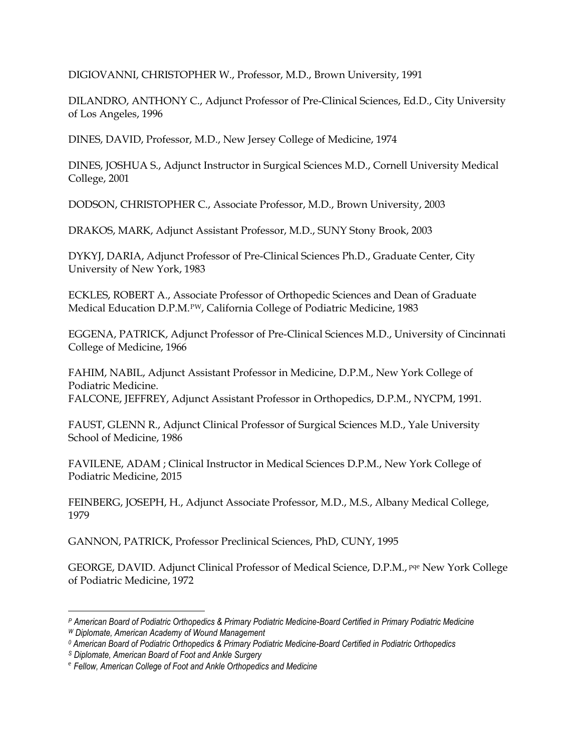DIGIOVANNI, CHRISTOPHER W., Professor, M.D., Brown University, 1991

DILANDRO, ANTHONY C., Adjunct Professor of Pre-Clinical Sciences, Ed.D., City University of Los Angeles, 1996

DINES, DAVID, Professor, M.D., New Jersey College of Medicine, 1974

DINES, JOSHUA S., Adjunct Instructor in Surgical Sciences M.D., Cornell University Medical College, 2001

DODSON, CHRISTOPHER C., Associate Professor, M.D., Brown University, 2003

DRAKOS, MARK, Adjunct Assistant Professor, M.D., SUNY Stony Brook, 2003

DYKYJ, DARIA, Adjunct Professor of Pre-Clinical Sciences Ph.D., Graduate Center, City University of New York, 1983

ECKLES, ROBERT A., Associate Professor of Orthopedic Sciences and Dean of Graduate Medical Education D.P.M.<sup>PW</sup>, California College of Podiatric Medicine, 1983

EGGENA, PATRICK, Adjunct Professor of Pre-Clinical Sciences M.D., University of Cincinnati College of Medicine, 1966

FAHIM, NABIL, Adjunct Assistant Professor in Medicine, D.P.M., New York College of Podiatric Medicine. FALCONE, JEFFREY, Adjunct Assistant Professor in Orthopedics, D.P.M., NYCPM, 1991.

FAUST, GLENN R., Adjunct Clinical Professor of Surgical Sciences M.D., Yale University School of Medicine, 1986

FAVILENE, ADAM ; Clinical Instructor in Medical Sciences D.P.M., New York College of Podiatric Medicine, 2015

FEINBERG, JOSEPH, H., Adjunct Associate Professor, M.D., M.S., Albany Medical College, 1979

GANNON, PATRICK, Professor Preclinical Sciences, PhD, CUNY, 1995

GEORGE, DAVID. Adjunct Clinical Professor of Medical Science, D.P.M., pqe New York College of Podiatric Medicine, 1972

*<sup>P</sup> American Board of Podiatric Orthopedics & Primary Podiatric Medicine-Board Certified in Primary Podiatric Medicine <sup>W</sup> Diplomate, American Academy of Wound Management*

*<sup>0</sup> American Board of Podiatric Orthopedics & Primary Podiatric Medicine-Board Certified in Podiatric Orthopedics*

*<sup>S</sup> Diplomate, American Board of Foot and Ankle Surgery*

e *Fellow, American College of Foot and Ankle Orthopedics and Medicine*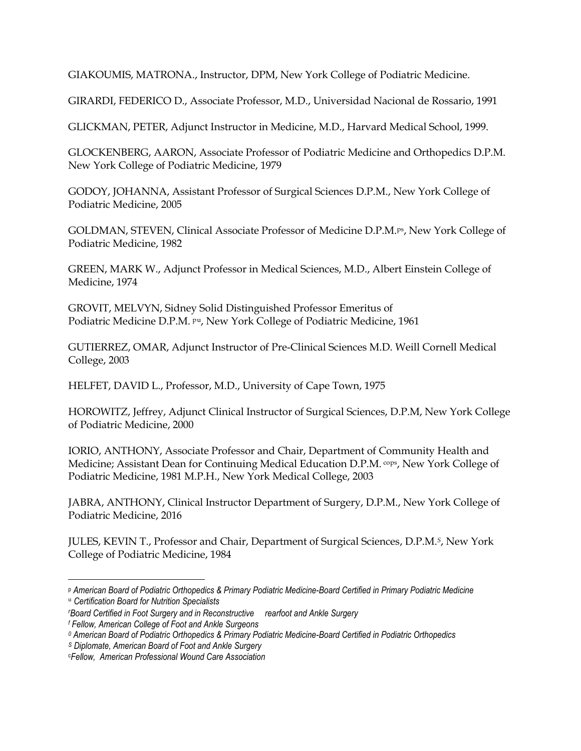GIAKOUMIS, MATRONA., Instructor, DPM, New York College of Podiatric Medicine.

GIRARDI, FEDERICO D., Associate Professor, M.D., Universidad Nacional de Rossario, 1991

GLICKMAN, PETER, Adjunct Instructor in Medicine, M.D., Harvard Medical School, 1999.

GLOCKENBERG, AARON, Associate Professor of Podiatric Medicine and Orthopedics D.P.M. New York College of Podiatric Medicine, 1979

GODOY, JOHANNA, Assistant Professor of Surgical Sciences D.P.M., New York College of Podiatric Medicine, 2005

GOLDMAN, STEVEN, Clinical Associate Professor of Medicine D.P.M.ps, New York College of Podiatric Medicine, 1982

GREEN, MARK W., Adjunct Professor in Medical Sciences, M.D., Albert Einstein College of Medicine, 1974

GROVIT, MELVYN, Sidney Solid Distinguished Professor Emeritus of Podiatric Medicine D.P.M. <sup>pu</sup>, New York College of Podiatric Medicine, 1961

GUTIERREZ, OMAR, Adjunct Instructor of Pre-Clinical Sciences M.D. Weill Cornell Medical College, 2003

HELFET, DAVID L., Professor, M.D., University of Cape Town, 1975

HOROWITZ, Jeffrey, Adjunct Clinical Instructor of Surgical Sciences, D.P.M, New York College of Podiatric Medicine, 2000

IORIO, ANTHONY, Associate Professor and Chair, Department of Community Health and Medicine; Assistant Dean for Continuing Medical Education D.P.M. <sup>cops</sup>, New York College of Podiatric Medicine, 1981 M.P.H., New York Medical College, 2003

JABRA, ANTHONY, Clinical Instructor Department of Surgery, D.P.M., New York College of Podiatric Medicine, 2016

JULES, KEVIN T., Professor and Chair, Department of Surgical Sciences, D.P.M.*S*, New York College of Podiatric Medicine, 1984

<sup>p</sup> *American Board of Podiatric Orthopedics & Primary Podiatric Medicine-Board Certified in Primary Podiatric Medicine*

<sup>u</sup> *Certification Board for Nutrition Specialists*

*<sup>r</sup>Board Certified in Foot Surgery and in Reconstructive rearfoot and Ankle Surgery <sup>f</sup> Fellow, American College of Foot and Ankle Surgeons*

*<sup>0</sup> American Board of Podiatric Orthopedics & Primary Podiatric Medicine-Board Certified in Podiatric Orthopedics*

*<sup>S</sup> Diplomate, American Board of Foot and Ankle Surgery*

c*Fellow, American Professional Wound Care Association*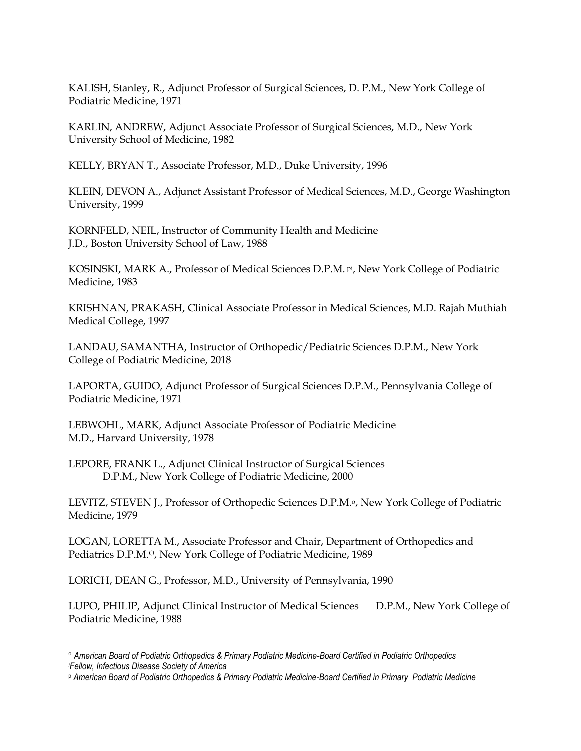KALISH, Stanley, R., Adjunct Professor of Surgical Sciences, D. P.M., New York College of Podiatric Medicine, 1971

KARLIN, ANDREW, Adjunct Associate Professor of Surgical Sciences, M.D., New York University School of Medicine, 1982

KELLY, BRYAN T., Associate Professor, M.D., Duke University, 1996

KLEIN, DEVON A., Adjunct Assistant Professor of Medical Sciences, M.D., George Washington University, 1999

KORNFELD, NEIL, Instructor of Community Health and Medicine J.D., Boston University School of Law, 1988

KOSINSKI, MARK A., Professor of Medical Sciences D.P.M. pi, New York College of Podiatric Medicine, 1983

KRISHNAN, PRAKASH, Clinical Associate Professor in Medical Sciences, M.D. Rajah Muthiah Medical College, 1997

LANDAU, SAMANTHA, Instructor of Orthopedic/Pediatric Sciences D.P.M., New York College of Podiatric Medicine, 2018

LAPORTA, GUIDO, Adjunct Professor of Surgical Sciences D.P.M., Pennsylvania College of Podiatric Medicine, 1971

LEBWOHL, MARK, Adjunct Associate Professor of Podiatric Medicine M.D., Harvard University, 1978

LEPORE, FRANK L., Adjunct Clinical Instructor of Surgical Sciences D.P.M., New York College of Podiatric Medicine, 2000

LEVITZ, STEVEN J., Professor of Orthopedic Sciences D.P.M.<sup>o</sup>, New York College of Podiatric Medicine, 1979

LOGAN, LORETTA M., Associate Professor and Chair, Department of Orthopedics and Pediatrics D.P.M.<sup>o</sup>, New York College of Podiatric Medicine, 1989

LORICH, DEAN G., Professor, M.D., University of Pennsylvania, 1990

LUPO, PHILIP, Adjunct Clinical Instructor of Medical Sciences D.P.M., New York College of Podiatric Medicine, 1988

<sup>o</sup> *American Board of Podiatric Orthopedics & Primary Podiatric Medicine-Board Certified in Podiatric Orthopedics <sup>i</sup>Fellow, Infectious Disease Society of America*

<sup>p</sup> *American Board of Podiatric Orthopedics & Primary Podiatric Medicine-Board Certified in Primary Podiatric Medicine*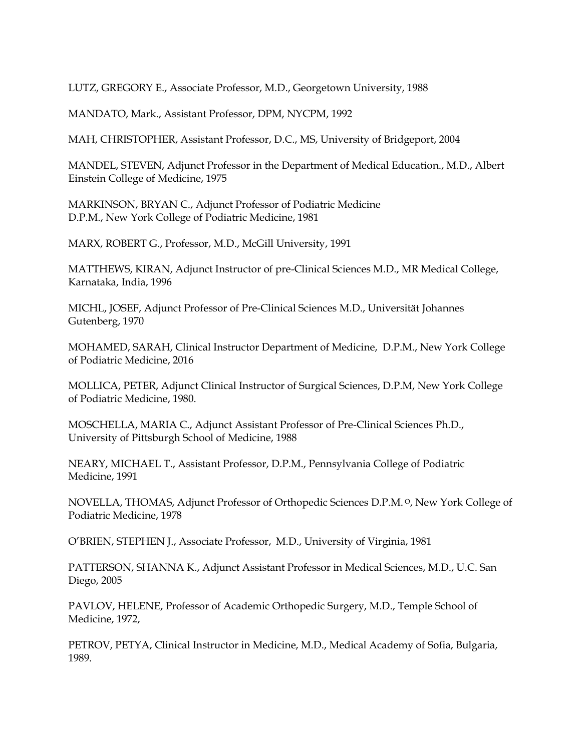LUTZ, GREGORY E., Associate Professor, M.D., Georgetown University, 1988

MANDATO, Mark., Assistant Professor, DPM, NYCPM, 1992

MAH, CHRISTOPHER, Assistant Professor, D.C., MS, University of Bridgeport, 2004

MANDEL, STEVEN, Adjunct Professor in the Department of Medical Education., M.D., Albert Einstein College of Medicine, 1975

MARKINSON, BRYAN C., Adjunct Professor of Podiatric Medicine D.P.M., New York College of Podiatric Medicine, 1981

MARX, ROBERT G., Professor, M.D., McGill University, 1991

MATTHEWS, KIRAN, Adjunct Instructor of pre-Clinical Sciences M.D., MR Medical College, Karnataka, India, 1996

MICHL, JOSEF, Adjunct Professor of Pre-Clinical Sciences M.D., Universität Johannes Gutenberg, 1970

MOHAMED, SARAH, Clinical Instructor Department of Medicine, D.P.M., New York College of Podiatric Medicine, 2016

MOLLICA, PETER, Adjunct Clinical Instructor of Surgical Sciences, D.P.M, New York College of Podiatric Medicine, 1980.

MOSCHELLA, MARIA C., Adjunct Assistant Professor of Pre-Clinical Sciences Ph.D., University of Pittsburgh School of Medicine, 1988

NEARY, MICHAEL T., Assistant Professor, D.P.M., Pennsylvania College of Podiatric Medicine, 1991

NOVELLA, THOMAS, Adjunct Professor of Orthopedic Sciences D.P.M. <sup>O</sup>, New York College of Podiatric Medicine, 1978

O'BRIEN, STEPHEN J., Associate Professor, M.D., University of Virginia, 1981

PATTERSON, SHANNA K., Adjunct Assistant Professor in Medical Sciences, M.D., U.C. San Diego, 2005

PAVLOV, HELENE, Professor of Academic Orthopedic Surgery, M.D., Temple School of Medicine, 1972,

PETROV, PETYA, Clinical Instructor in Medicine, M.D., Medical Academy of Sofia, Bulgaria, 1989.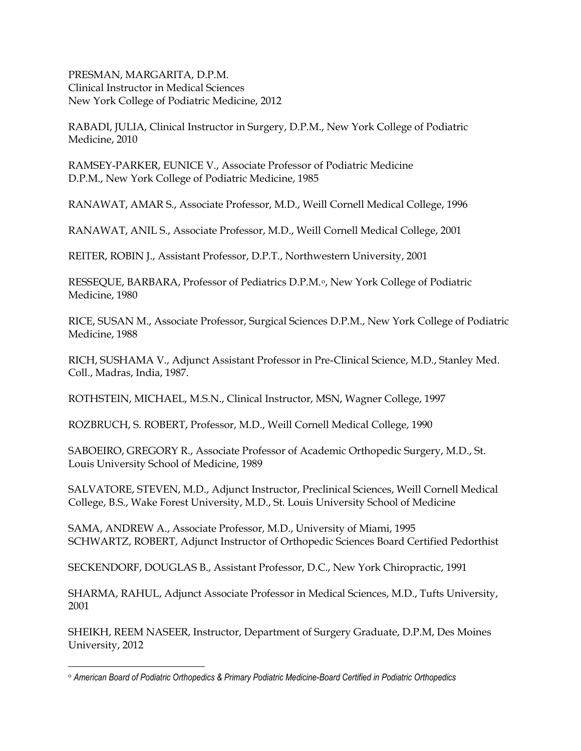PRESMAN, MARGARITA, D.P.M. Clinical Instructor in Medical Sciences New York College of Podiatric Medicine, 2012

RABADI, JULIA, Clinical Instructor in Surgery, D.P.M., New York College of Podiatric Medicine, 2010

RAMSEY-PARKER, EUNICE V., Associate Professor of Podiatric Medicine D.P.M., New York College of Podiatric Medicine, 1985

RANAWAT, AMAR S., Associate Professor, M.D., Weill Cornell Medical College, 1996

RANAWAT, ANIL S., Associate Professor, M.D., Weill Cornell Medical College, 2001

REITER, ROBIN J., Assistant Professor, D.P.T., Northwestern University, 2001

RESSEQUE, BARBARA, Professor of Pediatrics D.P.M.<sup>o</sup>, New York College of Podiatric Medicine, 1980

RICE, SUSAN M., Associate Professor, Surgical Sciences D.P.M., New York College of Podiatric Medicine, 1988

RICH, SUSHAMA V., Adjunct Assistant Professor in Pre-Clinical Science, M.D., Stanley Med. Coll., Madras, India, 1987.

ROTHSTEIN, MICHAEL, M.S.N., Clinical Instructor, MSN, Wagner College, 1997

ROZBRUCH, S. ROBERT, Professor, M.D., Weill Cornell Medical College, 1990

SABOEIRO, GREGORY R., Associate Professor of Academic Orthopedic Surgery, M.D., St. Louis University School of Medicine, 1989

SALVATORE, STEVEN, M.D., Adjunct Instructor, Preclinical Sciences, Weill Cornell Medical College, B.S., Wake Forest University, M.D., St. Louis University School of Medicine

SAMA, ANDREW A., Associate Professor, M.D., University of Miami, 1995 SCHWARTZ, ROBERT, Adjunct Instructor of Orthopedic Sciences Board Certified Pedorthist

SECKENDORF, DOUGLAS B., Assistant Professor, D.C., New York Chiropractic, 1991

SHARMA, RAHUL, Adjunct Associate Professor in Medical Sciences, M.D., Tufts University, 2001

SHEIKH, REEM NASEER, Instructor, Department of Surgery Graduate, D.P.M, Des Moines University, 2012

<sup>o</sup> *American Board of Podiatric Orthopedics & Primary Podiatric Medicine-Board Certified in Podiatric Orthopedics*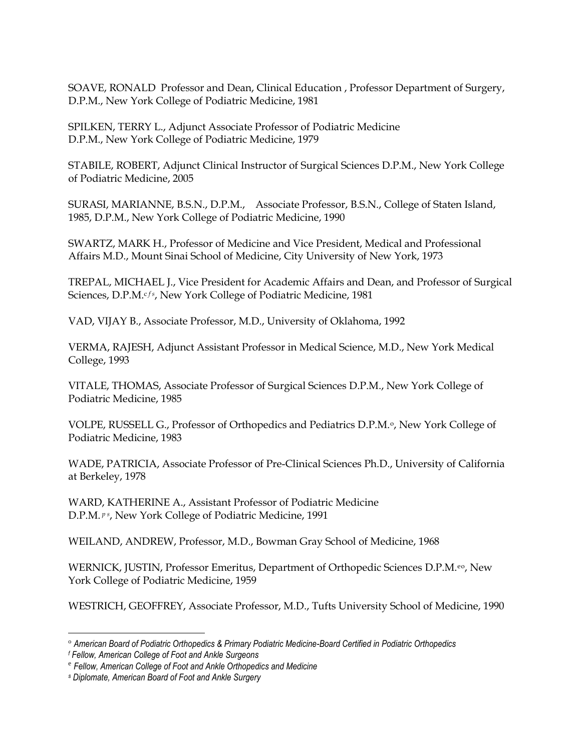SOAVE, RONALD Professor and Dean, Clinical Education , Professor Department of Surgery, D.P.M., New York College of Podiatric Medicine, 1981

SPILKEN, TERRY L., Adjunct Associate Professor of Podiatric Medicine D.P.M., New York College of Podiatric Medicine, 1979

STABILE, ROBERT, Adjunct Clinical Instructor of Surgical Sciences D.P.M., New York College of Podiatric Medicine, 2005

SURASI, MARIANNE, B.S.N., D.P.M., Associate Professor, B.S.N., College of Staten Island, 1985, D.P.M., New York College of Podiatric Medicine, 1990

SWARTZ, MARK H., Professor of Medicine and Vice President, Medical and Professional Affairs M.D., Mount Sinai School of Medicine, City University of New York, 1973

TREPAL, MICHAEL J., Vice President for Academic Affairs and Dean, and Professor of Surgical Sciences, D.P.M.<sup>cfs</sup>, New York College of Podiatric Medicine, 1981

VAD, VIJAY B., Associate Professor, M.D., University of Oklahoma, 1992

VERMA, RAJESH, Adjunct Assistant Professor in Medical Science, M.D., New York Medical College, 1993

VITALE, THOMAS, Associate Professor of Surgical Sciences D.P.M., New York College of Podiatric Medicine, 1985

VOLPE, RUSSELL G., Professor of Orthopedics and Pediatrics D.P.M.<sup>o</sup>, New York College of Podiatric Medicine, 1983

WADE, PATRICIA, Associate Professor of Pre-Clinical Sciences Ph.D., University of California at Berkeley, 1978

WARD, KATHERINE A., Assistant Professor of Podiatric Medicine D.P.M. *p s*, New York College of Podiatric Medicine, 1991

WEILAND, ANDREW, Professor, M.D., Bowman Gray School of Medicine, 1968

WERNICK, JUSTIN, Professor Emeritus, Department of Orthopedic Sciences D.P.M.<sup>eo</sup>, New York College of Podiatric Medicine, 1959

WESTRICH, GEOFFREY, Associate Professor, M.D., Tufts University School of Medicine, 1990

*<sup>f</sup> Fellow, American College of Foot and Ankle Surgeons*

<sup>o</sup> *American Board of Podiatric Orthopedics & Primary Podiatric Medicine-Board Certified in Podiatric Orthopedics*

e *Fellow, American College of Foot and Ankle Orthopedics and Medicine*

*<sup>s</sup> Diplomate, American Board of Foot and Ankle Surgery*